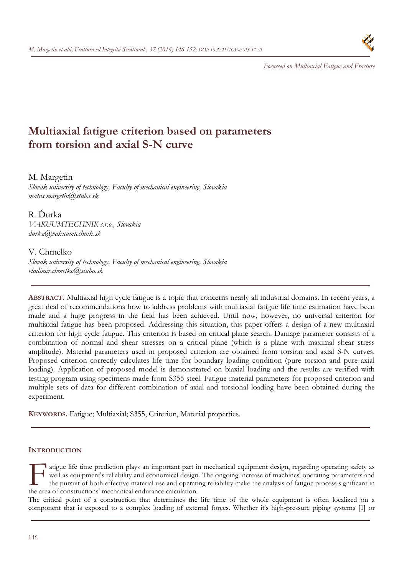

*Focussed on Multiaxial Fatigue and Fracture* 

# **Multiaxial fatigue criterion based on parameters from torsion and axial S-N curve**

# M. Margetin

*Slovak university of technology, Faculty of mechanical engineering, Slovakia matus.margetin@stuba.sk* 

R. Ďurka *VAKUUMTECHNIK s.r.o., Slovakia durka@vakuumtechnik.sk* 

# V. Chmelko

*Slovak university of technology, Faculty of mechanical engineering, Slovakia vladimir.chmelko@stuba.sk* 

**ABSTRACT.** Multiaxial high cycle fatigue is a topic that concerns nearly all industrial domains. In recent years, a great deal of recommendations how to address problems with multiaxial fatigue life time estimation have been made and a huge progress in the field has been achieved. Until now, however, no universal criterion for multiaxial fatigue has been proposed. Addressing this situation, this paper offers a design of a new multiaxial criterion for high cycle fatigue. This criterion is based on critical plane search. Damage parameter consists of a combination of normal and shear stresses on a critical plane (which is a plane with maximal shear stress amplitude). Material parameters used in proposed criterion are obtained from torsion and axial S-N curves. Proposed criterion correctly calculates life time for boundary loading condition (pure torsion and pure axial loading). Application of proposed model is demonstrated on biaxial loading and the results are verified with testing program using specimens made from S355 steel. Fatigue material parameters for proposed criterion and multiple sets of data for different combination of axial and torsional loading have been obtained during the experiment.

**KEYWORDS.** Fatigue; Multiaxial; S355, Criterion, Material properties.

# **INTRODUCTION**

**1** atigue life time prediction plays an important part in mechanical equipment design, regarding operating safety as well as equipment's reliability and economical design. The ongoing increase of machines' operating parameters and the pursuit of both effective material use and operating reliability make the analysis of fatigue process significant in atigue life time prediction plays an important part in well as equipment's reliability and economical design.<br>the pursuit of both effective material use and operation.<br>the area of constructions' mechanical endurance calcul

The critical point of a construction that determines the life time of the whole equipment is often localized on a component that is exposed to a complex loading of external forces. Whether it's high-pressure piping systems [1] or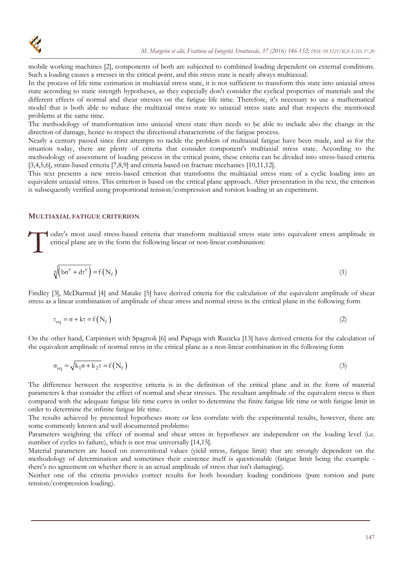

mobile working machines [2], components of both are subjected to combined loading dependent on external conditions. Such a loading causes a stresses in the critical point, and this stress state is nearly always multiaxual.

In the process of life time estimation in multiaxial stress state, it is not sufficient to transform this state into uniaxial stress state according to static strength hypotheses, as they especially don't consider the cyclical properties of materials and the different effects of normal and shear stresses on the fatigue life time. Therefore, it's necessary to use a mathematical model that is both able to reduce the multiaxial stress state to uniaxial stress state and that respects the mentioned problems at the same time.

The methodology of transformation into uniaxial stress state then needs to be able to include also the change in the direction of damage, hence to respect the directional characteristic of the fatigue process.

Nearly a century passed since first attempts to tackle the problem of multiaxial fatigue have been made, and as for the situation today, there are plenty of criteria that consider component's multiaxial stress state. According to the methodology of assessment of loading process in the critical point, these criteria can be divided into stress-based criteria [3,4,5,6], strain-based criteria [7,8,9] and criteria based on fracture mechanics [10,11,12].

This text presents a new stress-based criterion that transforms the multiaxial stress state of a cyclic loading into an equivalent uniaxial stress. This criterion is based on the critical plane approach. After presentation in the text, the criterion is subsequently verified using proportional tension/compression and torsion loading in an experiment.

#### **MULTIAXIAL FATIGUE CRITERION**

oday's most used stress-based criteria that transform multiaxial stress state into equivalent stress amplitude in critical plane are in the form the following linear or non-linear combination:  $\int_{0}^{1}$ 

$$
\sqrt[3]{\left( b\sigma^c + d\tau^e \right)} = f(N_f)
$$
\n(1)

Findley [3], McDiarmid [4] and Matake [5] have derived criteria for the calculation of the equivalent amplitude of shear stress as a linear combination of amplitude of shear stress and normal stress in the critical plane in the following form

$$
\tau_{\text{eq}} = \sigma + k\tau = f(N_f) \tag{2}
$$

On the other hand, Carpintieri with Spagnoli [6] and Papuga with Ruzicka [13] have derived criteria for the calculation of the equivalent amplitude of normal stress in the critical plane as a non-linear combination in the following form

$$
\sigma_{\text{eq}} = \sqrt{k_1 \sigma + k_2 \tau} = f(N_f)
$$
\n(3)

The difference between the respective criteria is in the definition of the critical plane and in the form of material parameters k that consider the effect of normal and shear stresses. The resultant amplitude of the equivalent stress is then compared with the adequate fatigue life time curve in order to determine the finite fatigue life time or with fatigue limit in order to determine the infinite fatigue life time.

The results achieved by presented hypotheses more or less correlate with the experimental results, however, there are some commonly known and well documented problems:

Parameters weighting the effect of normal and shear stress in hypotheses are independent on the loading level (i.e. number of cycles to failure), which is not true universally [14,15].

Material parameters are based on conventional values (yield stress, fatigue limit) that are strongly dependent on the methodology of determination and sometimes their existence itself is questionable (fatigue limit being the example there's no agreement on whether there is an actual amplitude of stress that isn't damaging).

Neither one of the criteria provides correct results for both boundary loading conditions (pure torsion and pure tension/compression loading).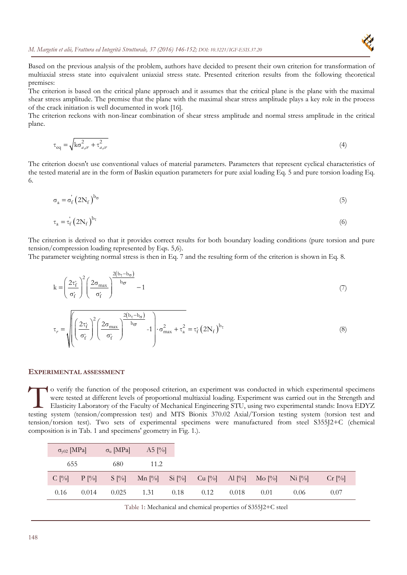

Based on the previous analysis of the problem, authors have decided to present their own criterion for transformation of multiaxial stress state into equivalent uniaxial stress state. Presented criterion results from the following theoretical premises:

The criterion is based on the critical plane approach and it assumes that the critical plane is the plane with the maximal shear stress amplitude. The premise that the plane with the maximal shear stress amplitude plays a key role in the process of the crack initiation is well documented in work [16].

The criterion reckons with non-linear combination of shear stress amplitude and normal stress amplitude in the critical plane.

$$
\tau_{\text{eq}} = \sqrt{\text{k}\sigma_{a,cr}^2 + \tau_{a,cr}^2}
$$
\n(4)

The criterion doesn't use conventional values of material parameters. Parameters that represent cyclical characteristics of the tested material are in the form of Baskin equation parameters for pure axial loading Eq. 5 and pure torsion loading Eq. 6.

$$
\sigma_{a} = \sigma_{f}' \left( 2N_{f} \right)^{b_{\sigma}} \tag{5}
$$

$$
\tau_a = \dot{\tau_f} \left( 2N_f \right)^{b_\tau} \tag{6}
$$

The criterion is derived so that it provides correct results for both boundary loading conditions (pure torsion and pure tension/compression loading represented by Eqs. 5,6).

The parameter weighting normal stress is then in Eq. 7 and the resulting form of the criterion is shown in Eq. 8.

$$
k = \left(\frac{2\tau_f}{\sigma_f^2}\right)^2 \left(\frac{2\sigma_{max}}{\sigma_f^2}\right)^{\frac{2(b_\tau - b_\sigma)}{b_\sigma}} - 1\tag{7}
$$

$$
\tau_r = \sqrt{\left(\left(\frac{2\tau_f}{\sigma_f}\right)^2 \left(\frac{2\sigma_{\text{max}}}{\sigma_f}\right)^2 \frac{2(b_\tau - b_\sigma)}{b_\sigma} - 1\right) \cdot \sigma_{\text{max}}^2 + \tau_a^2} = \tau_f^2 \left(2N_f\right)^{b_\tau}
$$
\n(8)

#### **EXPERIMENTAL ASSESSMENT**

o verify the function of the proposed criterion, an experiment was conducted in which experimental specimens were tested at different levels of proportional multiaxial loading. Experiment was carried out in the Strength and Elasticity Laboratory of the Faculty of Mechanical Engineering STU, using two experimental stands: Inova EDYZ To verify the function of the proposed criterion, an experiment was conducted in which experimental specimens were tested at different levels of proportional multiaxial loading. Experiment was carried out in the Strength a tension/torsion test). Two sets of experimental specimens were manufactured from steel S355J2+C (chemical composition is in Tab. 1 and specimens' geometry in Fig. 1.).

| $\sigma_{y02}$ [MPa] |         | $\sigma_u$ [MPa] | $A5$ [%]                           |      |      |       |      |           |          |
|----------------------|---------|------------------|------------------------------------|------|------|-------|------|-----------|----------|
| 655                  |         | 680              | 11.2                               |      |      |       |      |           |          |
| $C$ [%]              | $P[\%]$ | $S[\%]$          | Mn [%] Si [%] Cu [%] Al [%] Mo [%] |      |      |       |      | $N_i$ [%] | $Cr$ [%] |
| 0.16                 | 0.014   | 0.025            | 1.31                               | 0.18 | 0.12 | 0.018 | 0.01 | 0.06      | 0.07     |

Table 1: Mechanical and chemical properties of S355J2+C steel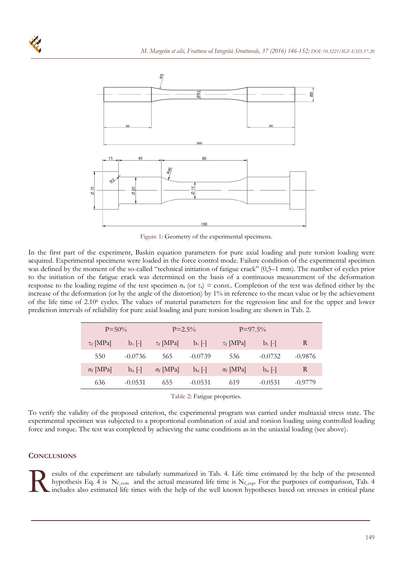

Figure 1: Geometry of the experimental specimens.

In the first part of the experiment, Baskin equation parameters for pure axial loading and pure torsion loading were acquired. Experimental specimens were loaded in the force control mode. Failure condition of the experimental specimen was defined by the moment of the so-called "technical initiation of fatigue crack" (0,5–1 mm). The number of cycles prior to the initiation of the fatigue crack was determined on the basis of a continuous measurement of the deformation response to the loading regime of the test specimen  $\sigma_a$  (or  $\tau_a$ ) = const.. Completion of the test was defined either by the increase of the deformation (or by the angle of the distortion) by 1% in reference to the mean value or by the achievement of the life time of 2.106 cycles. The values of material parameters for the regression line and for the upper and lower prediction intervals of reliability for pure axial loading and pure torsion loading are shown in Tab. 2.

| $P = 50\%$       |                  | $P = 2.5\%$      |                  | $P=97.5\%$     |                  |           |
|------------------|------------------|------------------|------------------|----------------|------------------|-----------|
| $\tau_f$ MPa     | $b_\tau$ [-]     | $\tau_f$ [MPa]   | $b_\tau$ [-]     | $\tau_f$ MPa   | $b_\tau$  -      | R         |
| 550              | $-0.0736$        | 565              | $-0.0739$        | 536            | $-0.0732$        | $-0.9876$ |
| $\sigma_f$ [MPa] | $b_{\sigma}$ [-] | $\sigma_f$ [MPa] | $b_{\sigma}$ [-] | $\sigma_f$ MPa | $b_{\sigma}$ [-] | R         |
| 636              | $-0.0531$        | 655              | $-0.0531$        | 619            | $-0.0531$        | $-0.9779$ |

Table 2: Fatigue properties.

To verify the validity of the proposed criterion, the experimental program was carried under multiaxial stress state. The experimental specimen was subjected to a proportional combination of axial and torsion loading using controlled loading force and torque. The test was completed by achieving the same conditions as in the uniaxial loading (see above).

# **CONCLUSIONS**

esults of the experiment are tabularly summarized in Tab. 4. Life time estimated by the help of the presented hypothesis Eq. 4 is N<sub>f\_com</sub> and the actual measured life time is N<sub>f\_exp</sub>. For the purposes of comparison, Tab.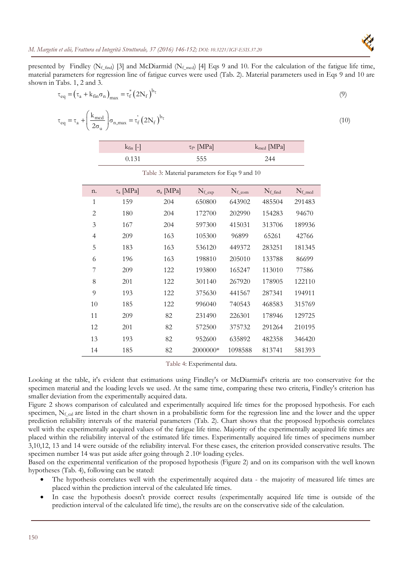presented by Findley ( $N_f$ <sub>find</sub>) [3] and McDiarmid ( $N_f$ <sub>mcd</sub>) [4] Eqs 9 and 10. For the calculation of the fatigue life time, material parameters for regression line of fatigue curves were used (Tab. 2). Material parameters used in Eqs 9 and 10 are shown in Tabs. 1, 2 and 3.

$$
\tau_{\text{eq}} = \left(\tau_a + k_{\text{fin}}\sigma_n\right)_{\text{max}} = \tau_f^* \left(2N_f\right)^{b_{\tau}}
$$
\n(9)

$$
\tau_{\text{eq}} = \tau_a + \left(\frac{k_{\text{mod}}}{2\sigma_u}\right)\sigma_{n,\text{max}} = \tau_f' (2N_f)^{b_{\tau}}
$$
\n(10)

| $k_{fin}$ [-] | $\tau_{f^*}$ [MPa] | $k_{\text{med}}$ [MPa] |
|---------------|--------------------|------------------------|
| 0.131         | 555                | 244                    |

Table 3: Material parameters for Eqs 9 and 10

| n.             | $\tau_a$ [MPa] | $\sigma$ <sub>a</sub> [MPa] | $N_{f_{exp}}$ | $N_{f_{\text{com}}}$ | $N_{f\_find}$ | $N_{f_{\text{mod}}}$ |
|----------------|----------------|-----------------------------|---------------|----------------------|---------------|----------------------|
| 1              | 159            | 204                         | 650800        | 643902               | 485504        | 291483               |
| 2              | 180            | 204                         | 172700        | 202990               | 154283        | 94670                |
| 3              | 167            | 204                         | 597300        | 415031               | 313706        | 189936               |
| $\overline{4}$ | 209            | 163                         | 105300        | 96899                | 65261         | 42766                |
| 5              | 183            | 163                         | 536120        | 449372               | 283251        | 181345               |
| 6              | 196            | 163                         | 198810        | 205010               | 133788        | 86699                |
| 7              | 209            | 122                         | 193800        | 165247               | 113010        | 77586                |
| 8              | 201            | 122                         | 301140        | 267920               | 178905        | 122110               |
| 9              | 193            | 122                         | 375630        | 441567               | 287341        | 194911               |
| 10             | 185            | 122                         | 996040        | 740543               | 468583        | 315769               |
| 11             | 209            | 82                          | 231490        | 226301               | 178946        | 129725               |
| 12             | 201            | 82                          | 572500        | 375732               | 291264        | 210195               |
| 13             | 193            | 82                          | 952600        | 635892               | 482358        | 346420               |
| 14             | 185            | 82                          | 2000000*      | 1098588              | 813741        | 581393               |

Table 4: Experimental data.

Looking at the table, it's evident that estimations using Findley's or McDiarmid's criteria are too conservative for the specimen material and the loading levels we used. At the same time, comparing these two criteria, Findley's criterion has smaller deviation from the experimentally acquired data.

Figure 2 shows comparison of calculated and experimentally acquired life times for the proposed hypothesis. For each specimen, Nf<sub>cal</sub> are listed in the chart shown in a probabilistic form for the regression line and the lower and the upper prediction reliability intervals of the material parameters (Tab. 2). Chart shows that the proposed hypothesis correlates well with the experimentally acquired values of the fatigue life time. Majority of the experimentally acquired life times are placed within the reliability interval of the estimated life times. Experimentally acquired life times of specimens number 3,10,12, 13 and 14 were outside of the reliability interval. For these cases, the criterion provided conservative results. The specimen number 14 was put aside after going through 2 .106 loading cycles.

Based on the experimental verification of the proposed hypothesis (Figure 2) and on its comparison with the well known hypotheses (Tab. 4), following can be stated:

- The hypothesis correlates well with the experimentally acquired data the majority of measured life times are placed within the prediction interval of the calculated life times.
- In case the hypothesis doesn't provide correct results (experimentally acquired life time is outside of the prediction interval of the calculated life time), the results are on the conservative side of the calculation.

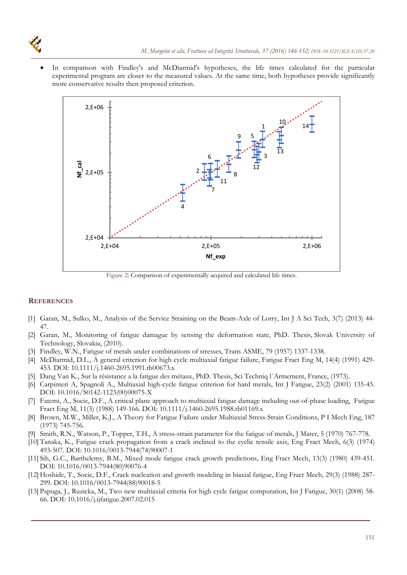In comparison with Findley's and McDiarmid's hypotheses, the life times calculated for the particular experimental program are closer to the measured values. At the same time, both hypotheses provide significantly more conservative results then proposed criterion.



Figure 2: Comparison of experimentally acquired and calculated life times.

### **REFERENCES**

- [1] Garan, M., Sulko, M., Analysis of the Service Straining on the Beam-Axle of Lorry, Int J A Sci Tech, 3(7) (2013) 44- 47.
- [2] Garan, M., Monitoring of fatigue damague by sensing the deformation state, PhD. Thesis, Slovak University of Technology, Slovakia, (2010).
- [3] Findley, W.N., Fatigue of metals under combinations of stresses, Trans ASME, 79 (1957) 1337-1338.
- [4] McDiarmid, D.L., A general criterion for high cycle multiaxial fatigue failure, Fatigue Fract Eng M, 14(4) (1991) 429- 453. DOI: 10.1111/j.1460-2695.1991.tb00673.x
- [5] Dang Van K., Sur la résistance a la fatigue des métaux, PhD. Thesis, Sci Techniq l´Armement, France, (1973).
- [6] Carpinteri A, Spagnoli A., Multiaxial high-cycle fatigue criterion for hard metals, Int J Fatigue, 23(2) (2001) 135-45. DOI: 10.1016/S0142-1123(00)00075-X
- [7] Fatemi, A., Socie, D.F., A critical plane approach to multiaxial fatigue damage including out-of-phase loading, Fatigue Fract Eng M, 11(3) (1988) 149-166. DOI: 10.1111/j.1460-2695.1988.tb01169.x
- [8] Brown, M.W., Miller, K.J., A Theory for Fatigue Failure under Multiaxial Stress-Strain Conditions, P I Mech Eng, 187 (1973) 745-756.
- [9] Smith, R.N., Watson, P., Topper, T.H., A stress-strain parameter for the fatigue of metals, J Mater, 5 (1970) 767-778.
- [10] Tanaka, K., Fatigue crack propagation from a crack inclined to the cyclic tensile axis, Eng Fract Mech, 6(3) (1974) 493-507. DOI: 10.1016/0013-7944(74)90007-1
- [11] Sih, G.C., Barthelemy, B.M., Mixed mode fatigue crack growth predictions, Eng Fract Mech, 13(3) (1980) 439-451. DOI: 10.1016/0013-7944(80)90076-4
- [12] Hoshide, T., Socie, D.F., Crack nucleation and growth modeling in biaxial fatigue, Eng Fract Mech, 29(3) (1988) 287- 299. DOI: 10.1016/0013-7944(88)90018-5
- [13] Papuga, J., Ruzicka, M., Two new multiaxial criteria for high cycle fatigue computation, Int J Fatigue, 30(1) (2008) 58- 66. DOI: 10.1016/j.ijfatigue.2007.02.015